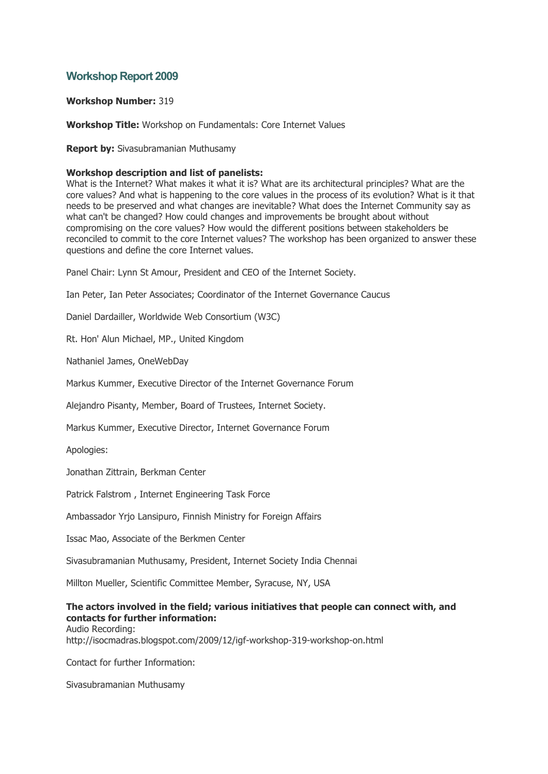# **Workshop Report 2009**

## **Workshop Number:** 319

**Workshop Title:** Workshop on Fundamentals: Core Internet Values

**Report by:** Sivasubramanian Muthusamy

### **Workshop description and list of panelists:**

What is the Internet? What makes it what it is? What are its architectural principles? What are the core values? And what is happening to the core values in the process of its evolution? What is it that needs to be preserved and what changes are inevitable? What does the Internet Community say as what can't be changed? How could changes and improvements be brought about without compromising on the core values? How would the different positions between stakeholders be reconciled to commit to the core Internet values? The workshop has been organized to answer these questions and define the core Internet values.

Panel Chair: Lynn St Amour, President and CEO of the Internet Society.

Ian Peter, Ian Peter Associates; Coordinator of the Internet Governance Caucus

Daniel Dardailler, Worldwide Web Consortium (W3C)

Rt. Hon' Alun Michael, MP., United Kingdom

Nathaniel James, OneWebDay

Markus Kummer, Executive Director of the Internet Governance Forum

Alejandro Pisanty, Member, Board of Trustees, Internet Society.

Markus Kummer, Executive Director, Internet Governance Forum

Apologies:

Jonathan Zittrain, Berkman Center

Patrick Falstrom , Internet Engineering Task Force

Ambassador Yrjo Lansipuro, Finnish Ministry for Foreign Affairs

Issac Mao, Associate of the Berkmen Center

Sivasubramanian Muthusamy, President, Internet Society India Chennai

Millton Mueller, Scientific Committee Member, Syracuse, NY, USA

# **The actors involved in the field; various initiatives that people can connect with, and contacts for further information:**

Audio Recording: http://isocmadras.blogspot.com/2009/12/igf-workshop-319-workshop-on.html

Contact for further Information:

Sivasubramanian Muthusamy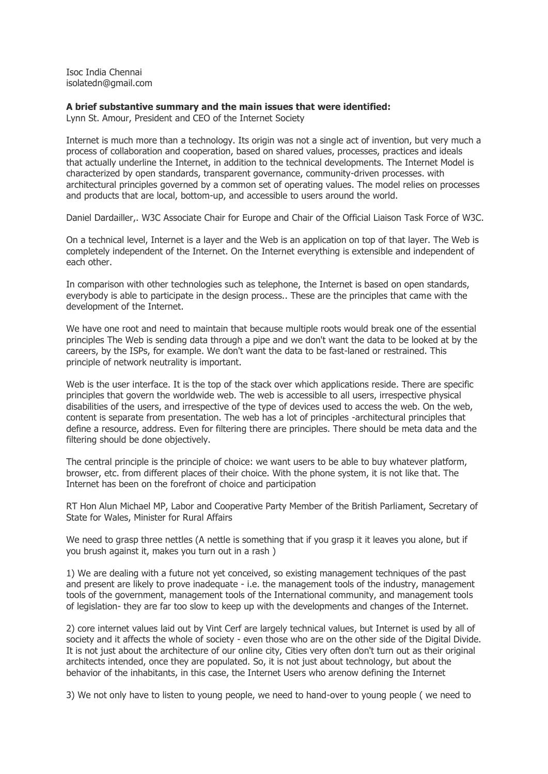Isoc India Chennai isolatedn@gmail.com

#### **A brief substantive summary and the main issues that were identified:**

Lynn St. Amour, President and CEO of the Internet Society

Internet is much more than a technology. Its origin was not a single act of invention, but very much a process of collaboration and cooperation, based on shared values, processes, practices and ideals that actually underline the Internet, in addition to the technical developments. The Internet Model is characterized by open standards, transparent governance, community-driven processes. with architectural principles governed by a common set of operating values. The model relies on processes and products that are local, bottom-up, and accessible to users around the world.

Daniel Dardailler,. W3C Associate Chair for Europe and Chair of the Official Liaison Task Force of W3C.

On a technical level, Internet is a layer and the Web is an application on top of that layer. The Web is completely independent of the Internet. On the Internet everything is extensible and independent of each other.

In comparison with other technologies such as telephone, the Internet is based on open standards, everybody is able to participate in the design process.. These are the principles that came with the development of the Internet.

We have one root and need to maintain that because multiple roots would break one of the essential principles The Web is sending data through a pipe and we don't want the data to be looked at by the careers, by the ISPs, for example. We don't want the data to be fast-laned or restrained. This principle of network neutrality is important.

Web is the user interface. It is the top of the stack over which applications reside. There are specific principles that govern the worldwide web. The web is accessible to all users, irrespective physical disabilities of the users, and irrespective of the type of devices used to access the web. On the web, content is separate from presentation. The web has a lot of principles -architectural principles that define a resource, address. Even for filtering there are principles. There should be meta data and the filtering should be done objectively.

The central principle is the principle of choice: we want users to be able to buy whatever platform, browser, etc. from different places of their choice. With the phone system, it is not like that. The Internet has been on the forefront of choice and participation

RT Hon Alun Michael MP, Labor and Cooperative Party Member of the British Parliament, Secretary of State for Wales, Minister for Rural Affairs

We need to grasp three nettles (A nettle is something that if you grasp it it leaves you alone, but if you brush against it, makes you turn out in a rash )

1) We are dealing with a future not yet conceived, so existing management techniques of the past and present are likely to prove inadequate - i.e. the management tools of the industry, management tools of the government, management tools of the International community, and management tools of legislation- they are far too slow to keep up with the developments and changes of the Internet.

2) core internet values laid out by Vint Cerf are largely technical values, but Internet is used by all of society and it affects the whole of society - even those who are on the other side of the Digital Divide. It is not just about the architecture of our online city, Cities very often don't turn out as their original architects intended, once they are populated. So, it is not just about technology, but about the behavior of the inhabitants, in this case, the Internet Users who arenow defining the Internet

3) We not only have to listen to young people, we need to hand-over to young people ( we need to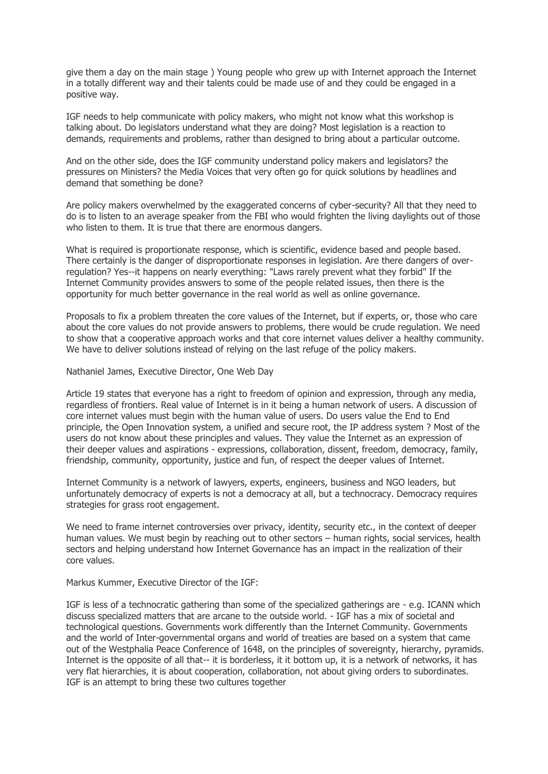give them a day on the main stage ) Young people who grew up with Internet approach the Internet in a totally different way and their talents could be made use of and they could be engaged in a positive way.

IGF needs to help communicate with policy makers, who might not know what this workshop is talking about. Do legislators understand what they are doing? Most legislation is a reaction to demands, requirements and problems, rather than designed to bring about a particular outcome.

And on the other side, does the IGF community understand policy makers and legislators? the pressures on Ministers? the Media Voices that very often go for quick solutions by headlines and demand that something be done?

Are policy makers overwhelmed by the exaggerated concerns of cyber-security? All that they need to do is to listen to an average speaker from the FBI who would frighten the living daylights out of those who listen to them. It is true that there are enormous dangers.

What is required is proportionate response, which is scientific, evidence based and people based. There certainly is the danger of disproportionate responses in legislation. Are there dangers of overregulation? Yes--it happens on nearly everything: "Laws rarely prevent what they forbid" If the Internet Community provides answers to some of the people related issues, then there is the opportunity for much better governance in the real world as well as online governance.

Proposals to fix a problem threaten the core values of the Internet, but if experts, or, those who care about the core values do not provide answers to problems, there would be crude regulation. We need to show that a cooperative approach works and that core internet values deliver a healthy community. We have to deliver solutions instead of relying on the last refuge of the policy makers.

Nathaniel James, Executive Director, One Web Day

Article 19 states that everyone has a right to freedom of opinion and expression, through any media, regardless of frontiers. Real value of Internet is in it being a human network of users. A discussion of core internet values must begin with the human value of users. Do users value the End to End principle, the Open Innovation system, a unified and secure root, the IP address system ? Most of the users do not know about these principles and values. They value the Internet as an expression of their deeper values and aspirations - expressions, collaboration, dissent, freedom, democracy, family, friendship, community, opportunity, justice and fun, of respect the deeper values of Internet.

Internet Community is a network of lawyers, experts, engineers, business and NGO leaders, but unfortunately democracy of experts is not a democracy at all, but a technocracy. Democracy requires strategies for grass root engagement.

We need to frame internet controversies over privacy, identity, security etc., in the context of deeper human values. We must begin by reaching out to other sectors – human rights, social services, health sectors and helping understand how Internet Governance has an impact in the realization of their core values.

Markus Kummer, Executive Director of the IGF:

IGF is less of a technocratic gathering than some of the specialized gatherings are - e.g. ICANN which discuss specialized matters that are arcane to the outside world. - IGF has a mix of societal and technological questions. Governments work differently than the Internet Community. Governments and the world of Inter-governmental organs and world of treaties are based on a system that came out of the Westphalia Peace Conference of 1648, on the principles of sovereignty, hierarchy, pyramids. Internet is the opposite of all that-- it is borderless, it it bottom up, it is a network of networks, it has very flat hierarchies, it is about cooperation, collaboration, not about giving orders to subordinates. IGF is an attempt to bring these two cultures together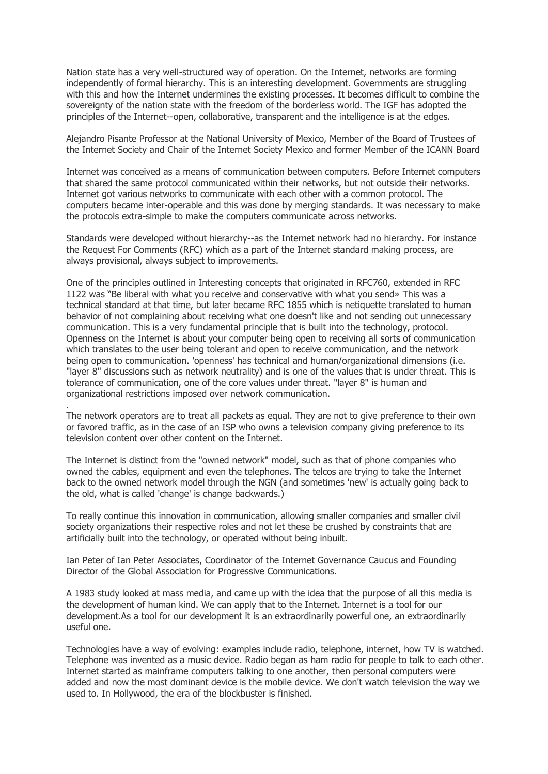Nation state has a very well-structured way of operation. On the Internet, networks are forming independently of formal hierarchy. This is an interesting development. Governments are struggling with this and how the Internet undermines the existing processes. It becomes difficult to combine the sovereignty of the nation state with the freedom of the borderless world. The IGF has adopted the principles of the Internet--open, collaborative, transparent and the intelligence is at the edges.

Alejandro Pisante Professor at the National University of Mexico, Member of the Board of Trustees of the Internet Society and Chair of the Internet Society Mexico and former Member of the ICANN Board

Internet was conceived as a means of communication between computers. Before Internet computers that shared the same protocol communicated within their networks, but not outside their networks. Internet got various networks to communicate with each other with a common protocol. The computers became inter-operable and this was done by merging standards. It was necessary to make the protocols extra-simple to make the computers communicate across networks.

Standards were developed without hierarchy--as the Internet network had no hierarchy. For instance the Request For Comments (RFC) which as a part of the Internet standard making process, are always provisional, always subject to improvements.

One of the principles outlined in Interesting concepts that originated in RFC760, extended in RFC 1122 was "Be liberal with what you receive and conservative with what you send» This was a technical standard at that time, but later became RFC 1855 which is netiquette translated to human behavior of not complaining about receiving what one doesn't like and not sending out unnecessary communication. This is a very fundamental principle that is built into the technology, protocol. Openness on the Internet is about your computer being open to receiving all sorts of communication which translates to the user being tolerant and open to receive communication, and the network being open to communication. 'openness' has technical and human/organizational dimensions (i.e. "layer 8" discussions such as network neutrality) and is one of the values that is under threat. This is tolerance of communication, one of the core values under threat. "layer 8" is human and organizational restrictions imposed over network communication.

The network operators are to treat all packets as equal. They are not to give preference to their own or favored traffic, as in the case of an ISP who owns a television company giving preference to its television content over other content on the Internet.

.

The Internet is distinct from the "owned network" model, such as that of phone companies who owned the cables, equipment and even the telephones. The telcos are trying to take the Internet back to the owned network model through the NGN (and sometimes 'new' is actually going back to the old, what is called 'change' is change backwards.)

To really continue this innovation in communication, allowing smaller companies and smaller civil society organizations their respective roles and not let these be crushed by constraints that are artificially built into the technology, or operated without being inbuilt.

Ian Peter of Ian Peter Associates, Coordinator of the Internet Governance Caucus and Founding Director of the Global Association for Progressive Communications.

A 1983 study looked at mass media, and came up with the idea that the purpose of all this media is the development of human kind. We can apply that to the Internet. Internet is a tool for our development.As a tool for our development it is an extraordinarily powerful one, an extraordinarily useful one.

Technologies have a way of evolving: examples include radio, telephone, internet, how TV is watched. Telephone was invented as a music device. Radio began as ham radio for people to talk to each other. Internet started as mainframe computers talking to one another, then personal computers were added and now the most dominant device is the mobile device. We don't watch television the way we used to. In Hollywood, the era of the blockbuster is finished.